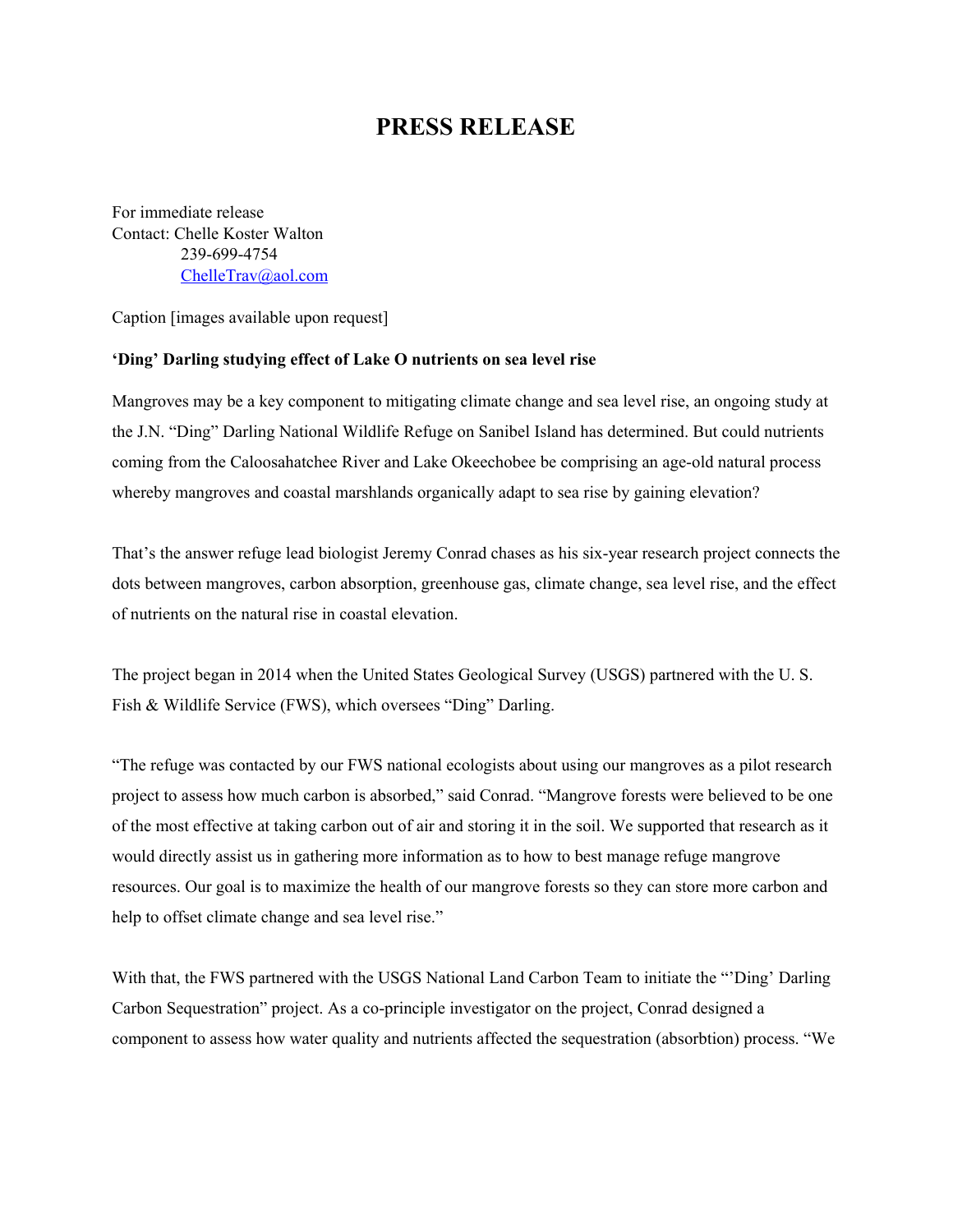## **PRESS RELEASE**

For immediate release Contact: Chelle Koster Walton 239-699-4754 [ChelleTrav@aol.com](mailto:ChelleTrav@aol.com)

Caption [images available upon request]

## **'Ding' Darling studying effect of Lake O nutrients on sea level rise**

Mangroves may be a key component to mitigating climate change and sea level rise, an ongoing study at the J.N. "Ding" Darling National Wildlife Refuge on Sanibel Island has determined. But could nutrients coming from the Caloosahatchee River and Lake Okeechobee be comprising an age-old natural process whereby mangroves and coastal marshlands organically adapt to sea rise by gaining elevation?

That's the answer refuge lead biologist Jeremy Conrad chases as his six-year research project connects the dots between mangroves, carbon absorption, greenhouse gas, climate change, sea level rise, and the effect of nutrients on the natural rise in coastal elevation.

The project began in 2014 when the United States Geological Survey (USGS) partnered with the U. S. Fish & Wildlife Service (FWS), which oversees "Ding" Darling.

"The refuge was contacted by our FWS national ecologists about using our mangroves as a pilot research project to assess how much carbon is absorbed," said Conrad. "Mangrove forests were believed to be one of the most effective at taking carbon out of air and storing it in the soil. We supported that research as it would directly assist us in gathering more information as to how to best manage refuge mangrove resources. Our goal is to maximize the health of our mangrove forests so they can store more carbon and help to offset climate change and sea level rise."

With that, the FWS partnered with the USGS National Land Carbon Team to initiate the "Ding' Darling" Carbon Sequestration" project. As a co-principle investigator on the project, Conrad designed a component to assess how water quality and nutrients affected the sequestration (absorbtion) process. "We